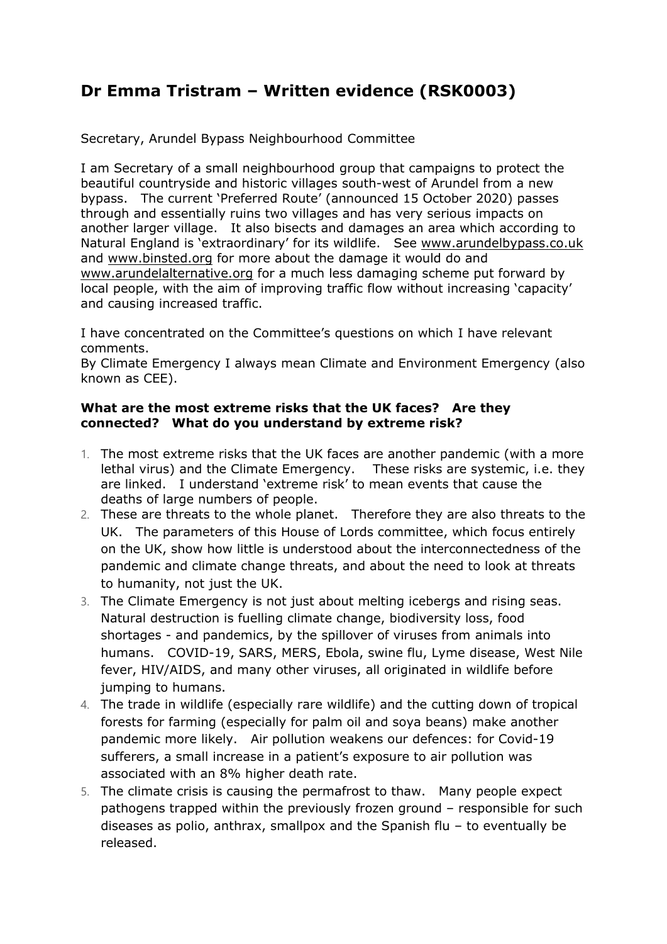# **Dr Emma Tristram – Written evidence (RSK0003)**

Secretary, Arundel Bypass Neighbourhood Committee

I am Secretary of a small neighbourhood group that campaigns to protect the beautiful countryside and historic villages south-west of Arundel from a new bypass. The current 'Preferred Route' (announced 15 October 2020) passes through and essentially ruins two villages and has very serious impacts on another larger village. It also bisects and damages an area which according to Natural England is 'extraordinary' for its wildlife. See [www.arundelbypass.co.uk](http://www.arundelbypass.co.uk/) and [www.binsted.org](http://www.binsted.org/) for more about the damage it would do and [www.arundelalternative.org](http://www.arundelalternative.org/) for a much less damaging scheme put forward by local people, with the aim of improving traffic flow without increasing 'capacity' and causing increased traffic.

I have concentrated on the Committee's questions on which I have relevant comments.

By Climate Emergency I always mean Climate and Environment Emergency (also known as CEE).

### **What are the most extreme risks that the UK faces? Are they connected? What do you understand by extreme risk?**

- 1. The most extreme risks that the UK faces are another pandemic (with a more lethal virus) and the Climate Emergency. These risks are systemic, i.e. they are linked. I understand 'extreme risk' to mean events that cause the deaths of large numbers of people.
- 2. These are threats to the whole planet. Therefore they are also threats to the UK. The parameters of this House of Lords committee, which focus entirely on the UK, show how little is understood about the interconnectedness of the pandemic and climate change threats, and about the need to look at threats to humanity, not just the UK.
- 3. The Climate Emergency is not just about melting icebergs and rising seas. Natural destruction is fuelling climate change, biodiversity loss, food shortages - and pandemics, by the spillover of viruses from animals into humans. COVID-19, SARS, MERS, Ebola, swine flu, Lyme disease, West Nile fever, HIV/AIDS, and many other viruses, all originated in wildlife before jumping to humans.
- 4. The trade in wildlife (especially rare wildlife) and the cutting down of tropical forests for farming (especially for palm oil and soya beans) make another pandemic more likely. Air pollution weakens our defences: for Covid-19 sufferers, a small increase in a patient's exposure to air pollution was associated with an 8% higher death rate.
- 5. The climate crisis is causing the permafrost to thaw. Many people expect pathogens trapped within the previously frozen ground – responsible for such diseases as polio, anthrax, smallpox and the Spanish flu – to eventually be released.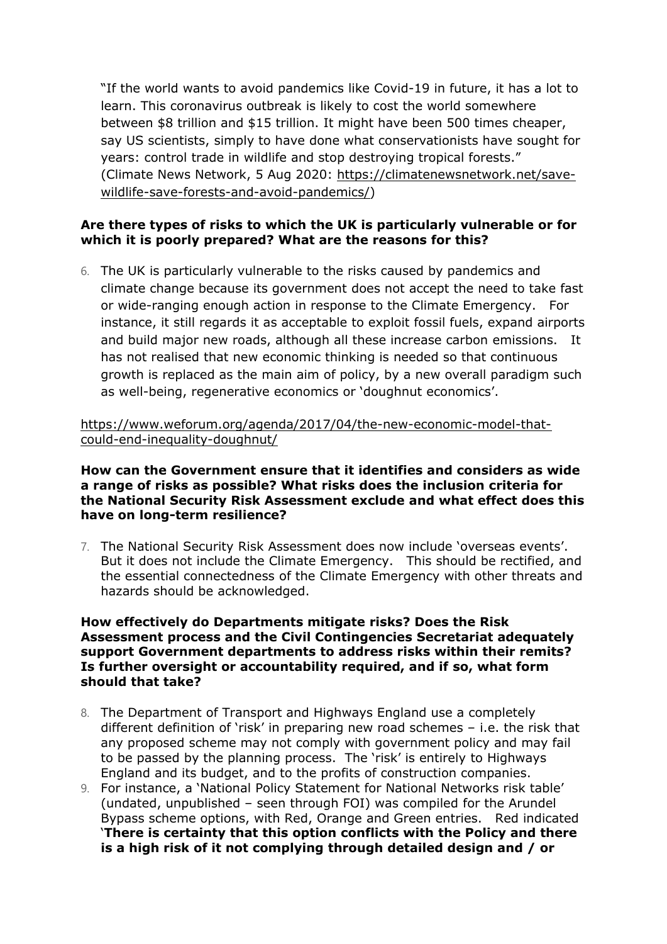"If the world wants to avoid pandemics like Covid-19 in future, it has a lot to learn. This coronavirus outbreak is likely to cost the world somewhere between \$8 trillion and \$15 trillion. It might have been 500 times cheaper, say US scientists, simply to have done what conservationists have sought for years: control trade in wildlife and stop destroying tropical forests." (Climate News Network, 5 Aug 2020: [https://climatenewsnetwork.net/save](https://climatenewsnetwork.net/save-wildlife-save-forests-and-avoid-pandemics/)[wildlife-save-forests-and-avoid-pandemics/](https://climatenewsnetwork.net/save-wildlife-save-forests-and-avoid-pandemics/))

## **Are there types of risks to which the UK is particularly vulnerable or for which it is poorly prepared? What are the reasons for this?**

6. The UK is particularly vulnerable to the risks caused by pandemics and climate change because its government does not accept the need to take fast or wide-ranging enough action in response to the Climate Emergency. For instance, it still regards it as acceptable to exploit fossil fuels, expand airports and build major new roads, although all these increase carbon emissions. It has not realised that new economic thinking is needed so that continuous growth is replaced as the main aim of policy, by a new overall paradigm such as well-being, regenerative economics or 'doughnut economics'.

[https://www.weforum.org/agenda/2017/04/the-new-economic-model-that](https://www.weforum.org/agenda/2017/04/the-new-economic-model-that-could-end-inequality-doughnut/)[could-end-inequality-doughnut/](https://www.weforum.org/agenda/2017/04/the-new-economic-model-that-could-end-inequality-doughnut/)

#### **How can the Government ensure that it identifies and considers as wide a range of risks as possible? What risks does the inclusion criteria for the National Security Risk Assessment exclude and what effect does this have on long-term resilience?**

7. The National Security Risk Assessment does now include 'overseas events'. But it does not include the Climate Emergency. This should be rectified, and the essential connectedness of the Climate Emergency with other threats and hazards should be acknowledged.

#### **How effectively do Departments mitigate risks? Does the Risk Assessment process and the Civil Contingencies Secretariat adequately support Government departments to address risks within their remits? Is further oversight or accountability required, and if so, what form should that take?**

- 8. The Department of Transport and Highways England use a completely different definition of 'risk' in preparing new road schemes – i.e. the risk that any proposed scheme may not comply with government policy and may fail to be passed by the planning process. The 'risk' is entirely to Highways England and its budget, and to the profits of construction companies.
- 9. For instance, a 'National Policy Statement for National Networks risk table' (undated, unpublished – seen through FOI) was compiled for the Arundel Bypass scheme options, with Red, Orange and Green entries. Red indicated '**There is certainty that this option conflicts with the Policy and there is a high risk of it not complying through detailed design and / or**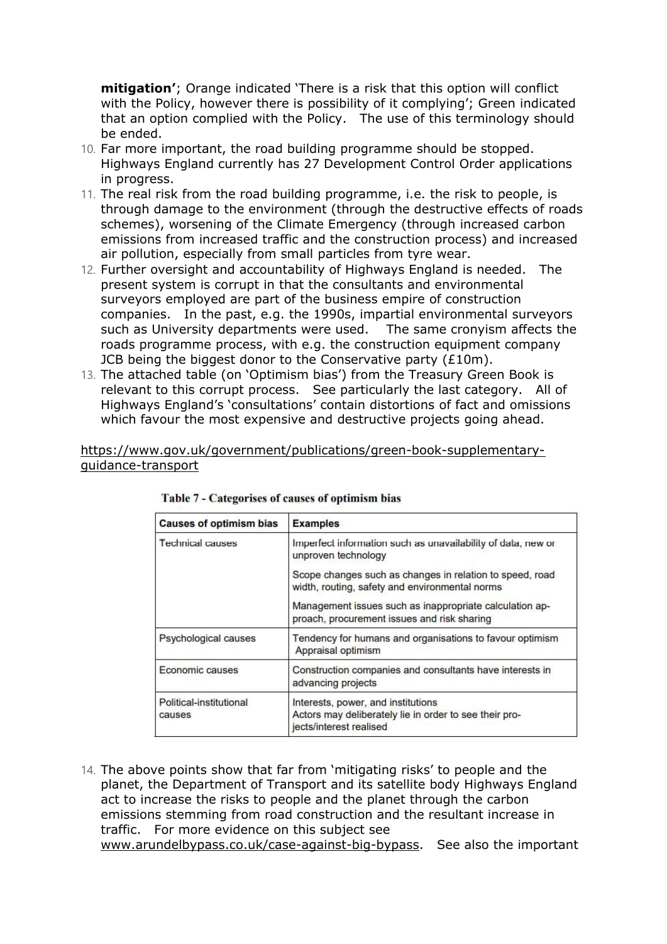**mitigation'**; Orange indicated 'There is a risk that this option will conflict with the Policy, however there is possibility of it complying'; Green indicated that an option complied with the Policy. The use of this terminology should be ended.

- 10. Far more important, the road building programme should be stopped. Highways England currently has 27 Development Control Order applications in progress.
- 11. The real risk from the road building programme, i.e. the risk to people, is through damage to the environment (through the destructive effects of roads schemes), worsening of the Climate Emergency (through increased carbon emissions from increased traffic and the construction process) and increased air pollution, especially from small particles from tyre wear.
- 12. Further oversight and accountability of Highways England is needed. The present system is corrupt in that the consultants and environmental surveyors employed are part of the business empire of construction companies. In the past, e.g. the 1990s, impartial environmental surveyors such as University departments were used. The same cronyism affects the roads programme process, with e.g. the construction equipment company JCB being the biggest donor to the Conservative party (£10m).
- 13. The attached table (on 'Optimism bias') from the Treasury Green Book is relevant to this corrupt process. See particularly the last category. All of Highways England's 'consultations' contain distortions of fact and omissions which favour the most expensive and destructive projects going ahead.

[https://www.gov.uk/government/publications/green-book-supplementary](https://www.gov.uk/government/publications/green-book-supplementary-guidance-transport)[guidance-transport](https://www.gov.uk/government/publications/green-book-supplementary-guidance-transport)

| <b>Causes of optimism bias</b>    | <b>Examples</b>                                                                                                         |  |  |
|-----------------------------------|-------------------------------------------------------------------------------------------------------------------------|--|--|
| <b>Technical causes</b>           | Imperfect information such as unavailability of data, new or<br>unproven technology                                     |  |  |
|                                   | Scope changes such as changes in relation to speed, road<br>width, routing, safety and environmental norms              |  |  |
|                                   | Management issues such as inappropriate calculation ap-<br>proach, procurement issues and risk sharing                  |  |  |
| Psychological causes              | Tendency for humans and organisations to favour optimism<br>Appraisal optimism                                          |  |  |
| Economic causes                   | Construction companies and consultants have interests in<br>advancing projects                                          |  |  |
| Political-institutional<br>causes | Interests, power, and institutions<br>Actors may deliberately lie in order to see their pro-<br>jects/interest realised |  |  |

| Table 7 - Categorises of causes of optimism bias |  |  |
|--------------------------------------------------|--|--|
|                                                  |  |  |

14. The above points show that far from 'mitigating risks' to people and the planet, the Department of Transport and its satellite body Highways England act to increase the risks to people and the planet through the carbon emissions stemming from road construction and the resultant increase in traffic. For more evidence on this subject see [www.arundelbypass.co.uk/case-against-big-bypass.](http://www.arundelbypass.co.uk/case-against-big-bypass) See also the important